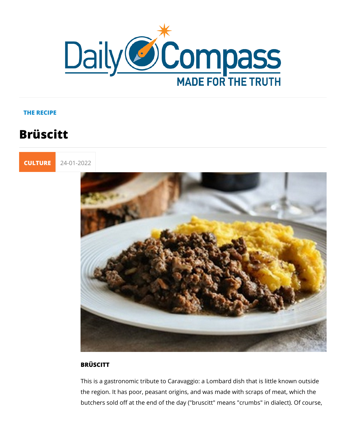### THE RECIPE

# Brüscitt



## BRÜSCITT

This is a gastronomic tribute to Caravaggio: a Lombard dish th the region. It has poor, peasant origins, and was made with sc butchers sold off at the end of the day ("bruscitt" means "crum